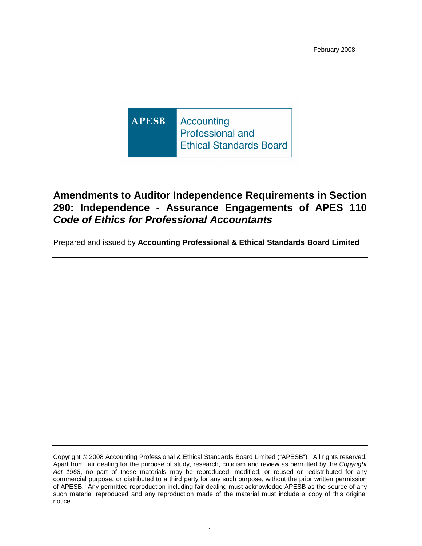

## **Amendments to Auditor Independence Requirements in Section 290: Independence - Assurance Engagements of APES 110 Code of Ethics for Professional Accountants**

Prepared and issued by **Accounting Professional & Ethical Standards Board Limited** 

Copyright © 2008 Accounting Professional & Ethical Standards Board Limited ("APESB"). All rights reserved. Apart from fair dealing for the purpose of study, research, criticism and review as permitted by the Copyright Act 1968, no part of these materials may be reproduced, modified, or reused or redistributed for any commercial purpose, or distributed to a third party for any such purpose, without the prior written permission of APESB. Any permitted reproduction including fair dealing must acknowledge APESB as the source of any such material reproduced and any reproduction made of the material must include a copy of this original notice.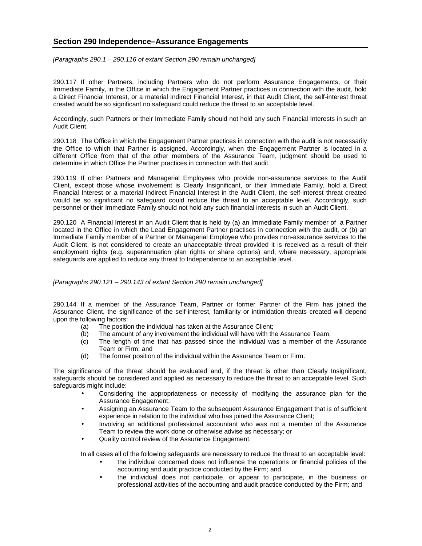## **Section 290 Independence–Assurance Engagements**

[Paragraphs 290.1 – 290.116 of extant Section 290 remain unchanged]

290.117 If other Partners, including Partners who do not perform Assurance Engagements, or their Immediate Family, in the Office in which the Engagement Partner practices in connection with the audit, hold a Direct Financial Interest, or a material Indirect Financial Interest, in that Audit Client, the self-interest threat created would be so significant no safeguard could reduce the threat to an acceptable level.

Accordingly, such Partners or their Immediate Family should not hold any such Financial Interests in such an Audit Client.

290.118 The Office in which the Engagement Partner practices in connection with the audit is not necessarily the Office to which that Partner is assigned. Accordingly, when the Engagement Partner is located in a different Office from that of the other members of the Assurance Team, judgment should be used to determine in which Office the Partner practices in connection with that audit.

290.119 If other Partners and Managerial Employees who provide non-assurance services to the Audit Client, except those whose involvement is Clearly Insignificant, or their Immediate Family, hold a Direct Financial Interest or a material Indirect Financial Interest in the Audit Client, the self-interest threat created would be so significant no safeguard could reduce the threat to an acceptable level. Accordingly, such personnel or their Immediate Family should not hold any such financial interests in such an Audit Client.

290.120 A Financial Interest in an Audit Client that is held by (a) an Immediate Family member of a Partner located in the Office in which the Lead Engagement Partner practises in connection with the audit, or (b) an Immediate Family member of a Partner or Managerial Employee who provides non-assurance services to the Audit Client, is not considered to create an unacceptable threat provided it is received as a result of their employment rights (e.g. superannuation plan rights or share options) and, where necessary, appropriate safeguards are applied to reduce any threat to Independence to an acceptable level.

[Paragraphs 290.121 – 290.143 of extant Section 290 remain unchanged]

290.144 If a member of the Assurance Team, Partner or former Partner of the Firm has joined the Assurance Client, the significance of the self-interest, familiarity or intimidation threats created will depend upon the following factors:

- (a) The position the individual has taken at the Assurance Client;<br>(b) The amount of any involvement the individual will have with the
- The amount of any involvement the individual will have with the Assurance Team;
- (c) The length of time that has passed since the individual was a member of the Assurance Team or Firm; and
- (d) The former position of the individual within the Assurance Team or Firm.

The significance of the threat should be evaluated and, if the threat is other than Clearly Insignificant, safeguards should be considered and applied as necessary to reduce the threat to an acceptable level. Such safeguards might include:

- Considering the appropriateness or necessity of modifying the assurance plan for the Assurance Engagement;
- Assigning an Assurance Team to the subsequent Assurance Engagement that is of sufficient experience in relation to the individual who has joined the Assurance Client;
- Involving an additional professional accountant who was not a member of the Assurance Team to review the work done or otherwise advise as necessary; or
- Quality control review of the Assurance Engagement.

In all cases all of the following safeguards are necessary to reduce the threat to an acceptable level:

- the individual concerned does not influence the operations or financial policies of the accounting and audit practice conducted by the Firm; and
- the individual does not participate, or appear to participate, in the business or professional activities of the accounting and audit practice conducted by the Firm; and